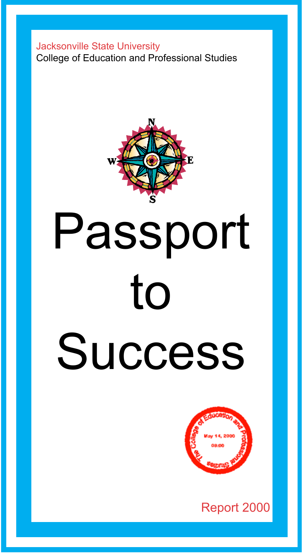Jacksonville State University College of Education and Professional Studies



# Passport to **Success**



Report 2000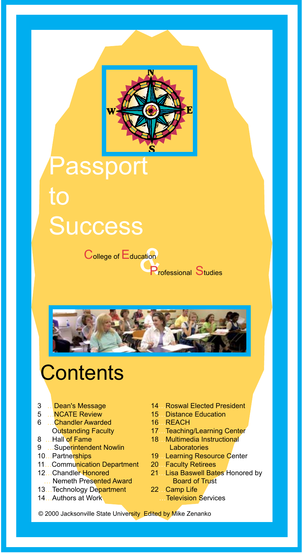

## Passport to **Success**

College of Education

**Professional Studies** 



## **Contents**

- 3 …Dean's Message
- 5 …NCATE Review
- 6 …Chandler Awarded Outstanding Faculty
- 8 …Hall of Fame
- 9 ...Superintendent Nowlin
- 10...Partnerships
- 11. Communication Department
- 12...Chandler Honored … Nemeth Presented Award
- 13...Technology Department
- 14…Authors at Work
- 14…Roswal Elected President
- 15…Distance Education
- 16…REACH
- 17…Teaching/Learning Center
- 18…Multimedia Instructional **Laboratories**
- 19…Learning Resource Center
- 20…Faculty Retirees
- 21…Lisa Baswell Bates Honored by Board of Trust
- 22…Camp Life …Television Services

© 2000 Jacksonville State University Edited by Mike Zenanko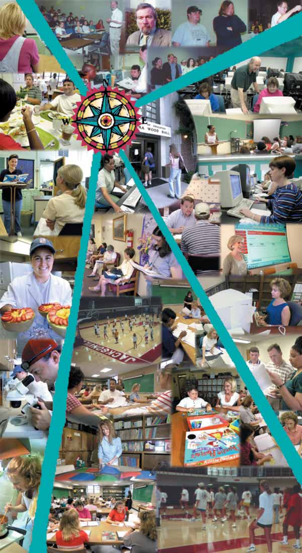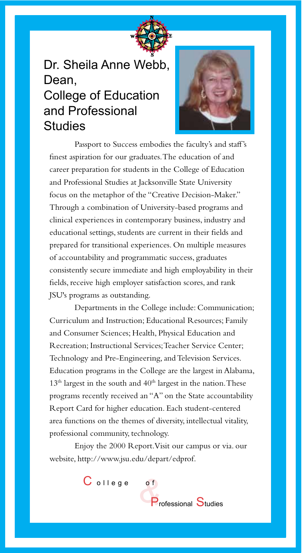

#### Dr. Sheila Anne Webb, Dean, College of Education and Professional **Studies**



Passport to Success embodies the faculty's and staff's finest aspiration for our graduates. The education of and career preparation for students in the College of Education and Professional Studies at Jacksonville State University focus on the metaphor of the "Creative Decision-Maker." Through a combination of University-based programs and clinical experiences in contemporary business, industry and educational settings, students are current in their fields and prepared for transitional experiences. On multiple measures of accountability and programmatic success, graduates consistently secure immediate and high employability in their fields, receive high employer satisfaction scores, and rank JSU's programs as outstanding.

Departments in the College include: Communication; Curriculum and Instruction; Educational Resources; Family and Consumer Sciences; Health, Physical Education and Recreation; Instructional Services; Teacher Service Center; Technology and Pre-Engineering, and Television Services. Education programs in the College are the largest in Alabama, 13<sup>th</sup> largest in the south and 40<sup>th</sup> largest in the nation. These programs recently received an "A" on the State accountability Report Card for higher education. Each student-centered area functions on the themes of diversity, intellectual vitality, professional community, technology.

Enjoy the 2000 Report. Visit our campus or via. our website, http://www.jsu.edu/depart/edprof.

Professional Studies

 $C$  ollege of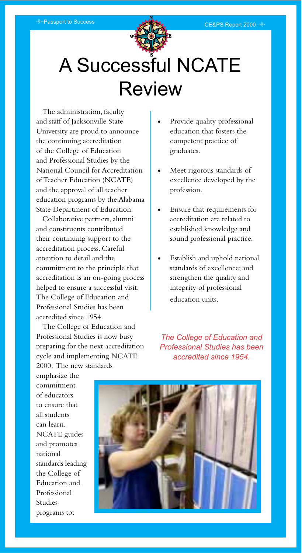

## A Successful NCATE Review

The administration, faculty and staff of Jacksonville State University are proud to announce the continuing accreditation of the College of Education and Professional Studies by the National Council for Accreditation of Teacher Education (NCATE) and the approval of all teacher education programs by the Alabama State Department of Education.

Collaborative partners, alumni and constituents contributed their continuing support to the accreditation process. Careful attention to detail and the commitment to the principle that accreditation is an on-going process helped to ensure a successful visit. The College of Education and Professional Studies has been accredited since 1954.

The College of Education and Professional Studies is now busy preparing for the next accreditation cycle and implementing NCATE 2000. The new standards

- Provide quality professional education that fosters the competent practice of graduates.
- Meet rigorous standards of excellence developed by the profession.
- Ensure that requirements for accreditation are related to established knowledge and sound professional practice.
- Establish and uphold national standards of excellence; and strengthen the quality and integrity of professional education units.

*The College of Education and Professional Studies has been accredited since 1954.*

emphasize the commitment of educators to ensure that all students can learn. NCATE guides and promotes national standards leading the College of Education and Professional Studies programs to:

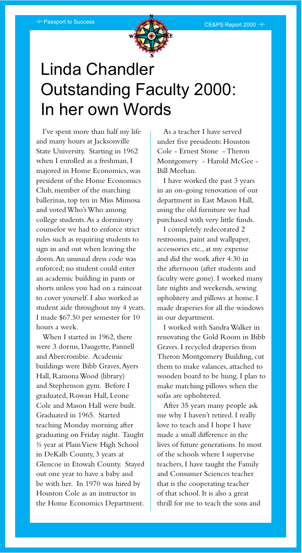

#### Linda Chandler Outstanding Faculty 2000: In her own Words

I've spent more than half my life and many hours at Jacksonville State University. Starting in 1962 when I enrolled as a freshman, I majored in Home Economics, was president of the Home Economics Club, member of the marching ballerinas, top ten in Miss Mimosa and voted Who's Who among college students. As a dormitory counselor we had to enforce strict rules such as requiring students to sign in and out when leaving the dorm. An unusual dress code was enforced; no student could enter an academic building in pants or shorts unless you had on a raincoat to cover yourself. I also worked as student aide throughout my 4 years. I made \$67.50 per semester for 10 hours a week.

When I started in 1962, there were 3 dorms, Daugette, Pannell and Abercrombie. Academic buildings were Bibb Graves, Ayers Hall, Ramona Wood (library) and Stephenson gym. Before I graduated, Rowan Hall, Leone Cole and Mason Hall were built. Graduated in 1965. Started teaching Monday morning after graduating on Friday night. Taught ½ year at Plain View High School in DeKalb County, 3 years at Glencoe in Etowah County. Stayed out one year to have a baby and be with her. In 1970 was hired by Houston Cole as an instructor in the Home Economics Department.

As a teacher I have served under five presidents: Houston Cole - Ernest Stone - Theron Montgomery - Harold McGee - Bill Meehan.

I have worked the past 3 years in an on-going renovation of our department in East Mason Hall, using the old furniture we had purchased with very little funds.

I completely redecorated 2 restrooms, paint and wallpaper, accessories etc., at my expense and did the work after 4:30 in the afternoon (after students and faculty were gone). I worked many late nights and weekends, sewing upholstery and pillows at home. I made draperies for all the windows in our department.

I worked with Sandra Walker in renovating the Gold Room in Bibb Graves. I recycled draperies from Theron Montgomery Building, cut them to make valances, attached to wooden board to be hung. I plan to make matching pillows when the sofas are upholstered.

After 35 years many people ask me why I haven't retired. I really love to teach and I hope I have made a small difference in the lives of future generations. In most of the schools where I supervise teachers, I have taught the Family and Consumer Sciences teacher that is the cooperating teacher of that school. It is also a great thrill for me to teach the sons and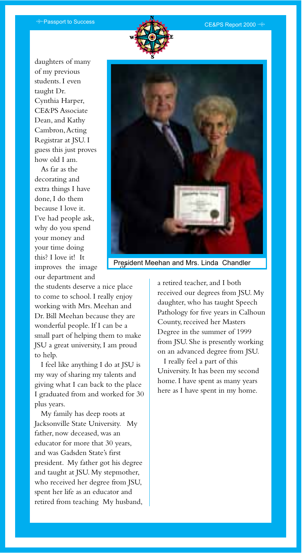

daughters of many of my previous students. I even taught Dr. Cynthia Harper, CE&PS Associate Dean, and Kathy Cambron, Acting Registrar at JSU. I guess this just proves how old I am.

As far as the decorating and extra things I have done, I do them because I love it. I've had people ask, why do you spend your money and your time doing this? I love it! It improves the image our department and

the students deserve a nice place to come to school. I really enjoy working with Mrs. Meehan and Dr. Bill Meehan because they are wonderful people. If I can be a small part of helping them to make JSU a great university, I am proud to help.

I feel like anything I do at JSU is my way of sharing my talents and giving what I can back to the place I graduated from and worked for 30 plus years.

My family has deep roots at Jacksonville State University. My father, now deceased, was an educator for more that 30 years, and was Gadsden State's first president. My father got his degree and taught at JSU. My stepmother, who received her degree from JSU, spent her life as an educator and retired from teaching My husband,



President Meehan and Mrs. Linda Chandler

a retired teacher, and I both received our degrees from JSU. My daughter, who has taught Speech Pathology for five years in Calhoun County, received her Masters Degree in the summer of 1999 from JSU. She is presently working on an advanced degree from JSU.

I really feel a part of this University. It has been my second home. I have spent as many years here as I have spent in my home.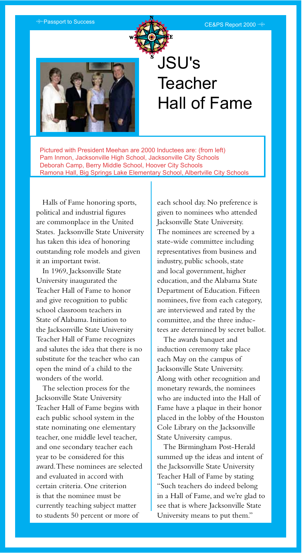

#### JSU's **Teacher** Hall of Fame

Pictured with President Meehan are 2000 Inductees are: (from left) Pam Inmon, Jacksonville High School, Jacksonville City Schools Deborah Camp, Berry Middle School, Hoover City Schools Ramona Hall, Big Springs Lake Elementary School, Albertville City Schools

Halls of Fame honoring sports, political and industrial figures are commonplace in the United States. Jacksonville State University has taken this idea of honoring outstanding role models and given it an important twist.

In 1969, Jacksonville State University inaugurated the Teacher Hall of Fame to honor and give recognition to public school classroom teachers in State of Alabama. Initiation to the Jacksonville State University Teacher Hall of Fame recognizes and salutes the idea that there is no substitute for the teacher who can open the mind of a child to the wonders of the world.

The selection process for the Jacksonville State University Teacher Hall of Fame begins with each public school system in the state nominating one elementary teacher, one middle level teacher, and one secondary teacher each year to be considered for this award. These nominees are selected and evaluated in accord with certain criteria. One criterion is that the nominee must be currently teaching subject matter to students 50 percent or more of

each school day. No preference is given to nominees who attended Jacksonville State University. The nominees are screened by a state-wide committee including representatives from business and industry, public schools, state and local government, higher education, and the Alabama State Department of Education. Fifteen nominees, five from each category, are interviewed and rated by the committee, and the three inductees are determined by secret ballot.

The awards banquet and induction ceremony take place each May on the campus of Jacksonville State University. Along with other recognition and monetary rewards, the nominees who are inducted into the Hall of Fame have a plaque in their honor placed in the lobby of the Houston Cole Library on the Jacksonville State University campus.

The Birmingham Post-Herald summed up the ideas and intent of the Jacksonville State University Teacher Hall of Fame by stating "Such teachers do indeed belong in a Hall of Fame, and we're glad to see that is where Jacksonville State University means to put them."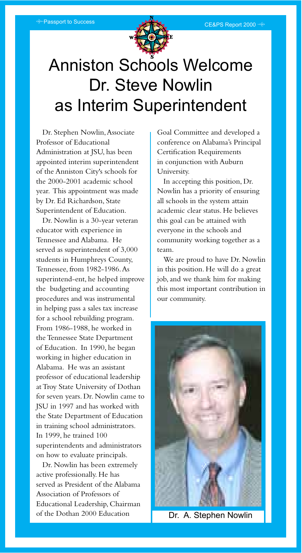

#### **Anniston Schools Welcome** Dr. Steve Nowlin as Interim Superintendent

Dr. Stephen Nowlin, Associate Professor of Educational Administration at JSU, has been appointed interim superintendent of the Anniston City's schools for the 2000-2001 academic school year. This appointment was made by Dr. Ed Richardson, State Superintendent of Education.

Dr. Nowlin is a 30-year veteran educator with experience in Tennessee and Alabama. He served as superintendent of 3,000 students in Humphreys County, Tennessee, from 1982-1986. As superintend-ent, he helped improve the budgeting and accounting procedures and was instrumental in helping pass a sales tax increase for a school rebuilding program. From 1986-1988, he worked in the Tennessee State Department of Education. In 1990, he began working in higher education in Alabama. He was an assistant professor of educational leadership at Troy State University of Dothan for seven years. Dr. Nowlin came to JSU in 1997 and has worked with the State Department of Education in training school administrators. In 1999, he trained 100 superintendents and administrators on how to evaluate principals.

Dr. Nowlin has been extremely active professionally. He has served as President of the Alabama Association of Professors of Educational Leadership, Chairman of the Dothan 2000 Education

Goal Committee and developed a conference on Alabama's Principal Certification Requirements in conjunction with Auburn University.

In accepting this position, Dr. Nowlin has a priority of ensuring all schools in the system attain academic clear status. He believes this goal can be attained with everyone in the schools and community working together as a team.

We are proud to have Dr. Nowlin in this position. He will do a great job, and we thank him for making this most important contribution in our community.



Dr. A. Stephen Nowlin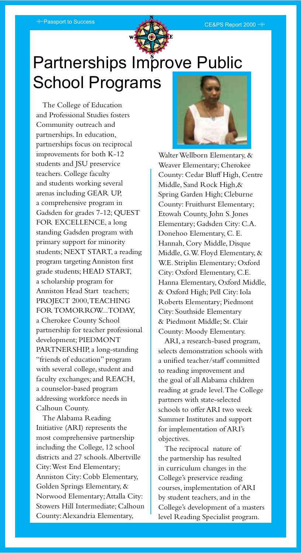

#### Partnerships Improve Public School Programs

The College of Education and Professional Studies fosters Community outreach and partnerships. In education, partnerships focus on reciprocal improvements for both K-12 students and JSU preservice teachers. College faculty and students working several arenas including GEAR UP, a comprehensive program in Gadsden for grades 7-12; QUEST FOR EXCELLENCE, a long standing Gadsden program with primary support for minority students; NEXT START, a reading program targeting Anniston first grade students; HEAD START, a scholarship program for Anniston Head Start teachers; PROJECT 2000, TEACHING FOR TOMORROW...TODAY, a Cherokee County School partnership for teacher professional development; PIEDMONT PARTNERSHIP, a long-standing "friends of education" program with several college, student and faculty exchanges; and REACH, a counselor-based program addressing workforce needs in Calhoun County.

The Alabama Reading Initiative (ARI) represents the most comprehensive partnership including the College, 12 school districts and 27 schools. Albertville City: West End Elementary; Anniston City: Cobb Elementary, Golden Springs Elementary, & Norwood Elementary; Attalla City: Stowers Hill Intermediate; Calhoun County: Alexandria Elementary,



Walter Wellborn Elementary, & Weaver Elementary; Cherokee County: Cedar Bluff High, Centre Middle, Sand Rock High,& Spring Garden High; Cleburne County: Fruithurst Elementary; Etowah County, John S. Jones Elementary; Gadsden City: C.A. Donehoo Elementary, C. E. Hannah, Cory Middle, Disque Middle, G.W. Floyd Elementary, & W.E. Striplin Elementary; Oxford City: Oxford Elementary, C.E. Hanna Elementary, Oxford Middle, & Oxford High; Pell City: Iola Roberts Elementary; Piedmont City: Southside Elementary & Piedmont Middle; St. Clair County: Moody Elementary.

ARI, a research-based program, selects demonstration schools with a unified teacher/staff committed to reading improvement and the goal of all Alabama children reading at grade level. The College partners with state-selected schools to offer ARI two week Summer Institutes and support for implementation of ARI's objectives.

The reciprocal nature of the partnership has resulted in curriculum changes in the College's preservice reading courses, implementation of ARI by student teachers, and in the College's development of a masters level Reading Specialist program.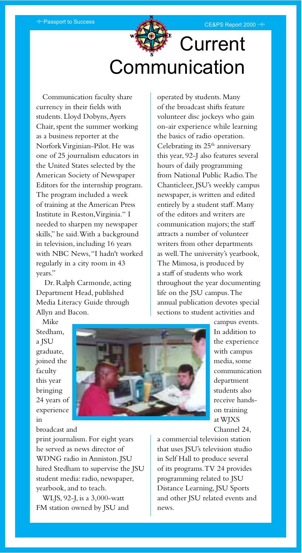## **Current Communication**

Communication faculty share currency in their fields with students. Lloyd Dobyns, Ayers Chair, spent the summer working as a business reporter at the Norfork Virginian-Pilot. He was one of 25 journalism educators in the United States selected by the American Society of Newspaper Editors for the internship program. The program included a week of training at the American Press Institute in Reston, Virginia." I needed to sharpen my newspaper skills," he said. With a background in television, including 16 years with NBC News, "I hadn't worked regularly in a city room in 43 years."

 Dr. Ralph Carmonde, acting Department Head, published Media Literacy Guide through Allyn and Bacon.

operated by students. Many of the broadcast shifts feature volunteer disc jockeys who gain on-air experience while learning the basics of radio operation. Celebrating its 25th anniversary this year, 92-J also features several hours of daily programming from National Public Radio. The Chanticleer, JSU's weekly campus newspaper, is written and edited entirely by a student staff. Many of the editors and writers are communication majors; the staff attracts a number of volunteer writers from other departments as well. The university's yearbook, The Mimosa, is produced by a staff of students who work throughout the year documenting life on the JSU campus. The annual publication devotes special sections to student activities and

Mike Stedham, a JSU graduate, joined the faculty this year bringing 24 years of experience in

broadcast and

print journalism. For eight years he served as news director of WDNG radio in Anniston. JSU hired Stedham to supervise the JSU student media: radio, newspaper, yearbook, and to teach.

WLJS, 92-J, is a 3,000-watt FM station owned by JSU and

at WJXS Channel 24, a commercial television station that uses JSU's television studio in Self Hall to produce several of its programs. TV 24 provides programming related to JSU Distance Learning, JSU Sports and other JSU related events and news.



campus events. In addition to the experience with campus media, some communication department students also receive handson training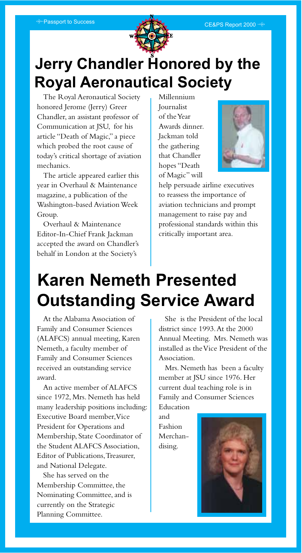

#### **Jerry Chandler Honored by the Royal Aeronautical Society**

The Royal Aeronautical Society honored Jerome (Jerry) Greer Chandler, an assistant professor of Communication at JSU, for his article "Death of Magic," a piece which probed the root cause of today's critical shortage of aviation mechanics.

The article appeared earlier this year in Overhaul & Maintenance magazine, a publication of the Washington-based Aviation Week Group.

Overhaul & Maintenance Editor-In-Chief Frank Jackman accepted the award on Chandler's behalf in London at the Society's

Millennium Journalist of the Year Awards dinner. Jackman told the gathering that Chandler hopes "Death of Magic" will



help persuade airline executives to reassess the importance of aviation technicians and prompt management to raise pay and professional standards within this critically important area.

### **Karen Nemeth Presented Outstanding Service Award**

At the Alabama Association of Family and Consumer Sciences (ALAFCS) annual meeting, Karen Nemeth, a faculty member of Family and Consumer Sciences received an outstanding service award.

An active member of ALAFCS since 1972, Mrs. Nemeth has held many leadership positions including: Executive Board member, Vice President for Operations and Membership, State Coordinator of the Student ALAFCS Association, Editor of Publications, Treasurer, and National Delegate.

She has served on the Membership Committee, the Nominating Committee, and is currently on the Strategic Planning Committee.

She is the President of the local district since 1993. At the 2000 Annual Meeting. Mrs. Nemeth was installed as the Vice President of the Association.

Mrs. Nemeth has been a faculty member at JSU since 1976. Her current dual teaching role is in Family and Consumer Sciences

Education and Fashion Merchandising.

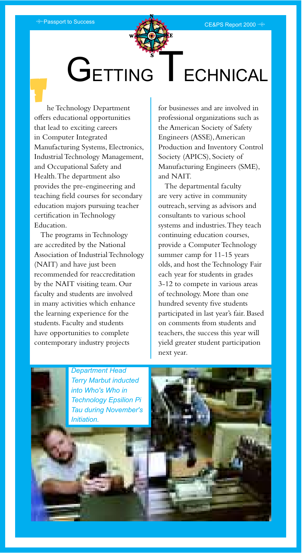## GETTING I ECHNICAL

 he Technology Department offers educational opportunities that lead to exciting careers in Computer Integrated Manufacturing Systems, Electronics, Industrial Technology Management, and Occupational Safety and Health. The department also provides the pre-engineering and teaching field courses for secondary education majors pursuing teacher certification in Technology Education. T

The programs in Technology are accredited by the National Association of Industrial Technology (NAIT) and have just been recommended for reaccreditation by the NAIT visiting team. Our faculty and students are involved in many activities which enhance the learning experience for the students. Faculty and students have opportunities to complete contemporary industry projects

for businesses and are involved in professional organizations such as the American Society of Safety Engineers (ASSE), American Production and Inventory Control Society (APICS), Society of Manufacturing Engineers (SME), and NAIT.

The departmental faculty are very active in community outreach, serving as advisors and consultants to various school systems and industries. They teach continuing education courses, provide a Computer Technology summer camp for 11-15 years olds, and host the Technology Fair each year for students in grades 3-12 to compete in various areas of technology. More than one hundred seventy five students participated in last year's fair. Based on comments from students and teachers, the success this year will yield greater student participation next year.

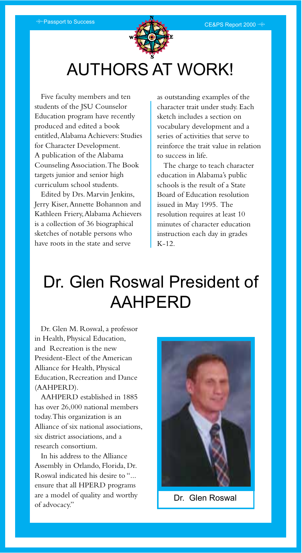

Five faculty members and ten students of the JSU Counselor Education program have recently produced and edited a book entitled, Alabama Achievers: Studies for Character Development. A publication of the Alabama Counseling Association. The Book targets junior and senior high curriculum school students.

Edited by Drs. Marvin Jenkins, Jerry Kiser, Annette Bohannon and Kathleen Friery, Alabama Achievers is a collection of 36 biographical sketches of notable persons who have roots in the state and serve

as outstanding examples of the character trait under study. Each sketch includes a section on vocabulary development and a series of activities that serve to reinforce the trait value in relation to success in life.

The charge to teach character education in Alabama's public schools is the result of a State Board of Education resolution issued in May 1995. The resolution requires at least 10 minutes of character education instruction each day in grades  $K-12$ .

#### Dr. Glen Roswal President of AAHPERD

Dr. Glen M. Roswal, a professor in Health, Physical Education, and Recreation is the new President-Elect of the American Alliance for Health, Physical Education, Recreation and Dance (AAHPERD).

AAHPERD established in 1885 has over 26,000 national members today. This organization is an Alliance of six national associations, six district associations, and a research consortium.

In his address to the Alliance Assembly in Orlando, Florida, Dr. Roswal indicated his desire to "... ensure that all HPERD programs are a model of quality and worthy of advocacy."



Dr. Glen Roswal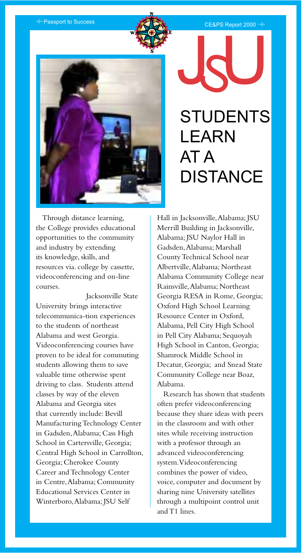



### **STUDENTS** LEARN AT A **DISTANCE**

JS U

Through distance learning, the College provides educational opportunities to the community and industry by extending its knowledge, skills, and resources via. college by cassette, videoconferencing and on-line courses.

 Jacksonville State University brings interactive telecommunica-tion experiences to the students of northeast Alabama and west Georgia. Videoconferencing courses have proven to be ideal for commuting students allowing them to save valuable time otherwise spent driving to class. Students attend classes by way of the eleven Alabama and Georgia sites that currently include: Bevill Manufacturing Technology Center in Gadsden, Alabama; Cass High School in Cartersville, Georgia; Central High School in Carrollton, Georgia; Cherokee County Career and Technology Center in Centre, Alabama; Community Educational Services Center in Winterboro, Alabama; JSU Self

Hall in Jacksonville, Alabama; JSU Merrill Building in Jacksonville, Alabama; JSU Naylor Hall in Gadsden, Alabama; Marshall County Technical School near Albertville, Alabama; Northeast Alabama Community College near Rainsville, Alabama; Northeast Georgia RESA in Rome, Georgia; Oxford High School Learning Resource Center in Oxford, Alabama, Pell City High School in Pell City Alabama; Sequoyah High School in Canton, Georgia; Shamrock Middle School in Decatur, Georgia; and Snead State Community College near Boaz, Alabama.

Research has shown that students often prefer videoconferencing because they share ideas with peers in the classroom and with other sites while receiving instruction with a professor through an advanced videoconferencing system. Videoconferencing combines the power of video, voice, computer and document by sharing nine University satellites through a multipoint control unit and T1 lines.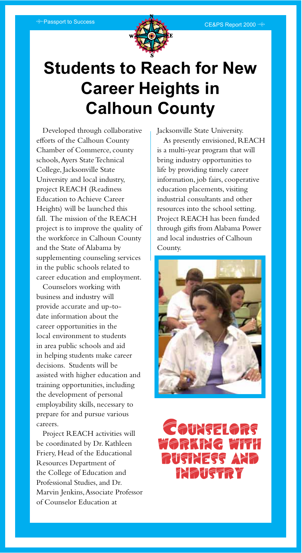

#### **Students to Reach for New Career Heights in Calhoun County**

Developed through collaborative efforts of the Calhoun County Chamber of Commerce, county schools, Ayers State Technical College, Jacksonville State University and local industry, project REACH (Readiness Education to Achieve Career Heights) will be launched this fall. The mission of the REACH project is to improve the quality of the workforce in Calhoun County and the State of Alabama by supplementing counseling services in the public schools related to career education and employment.

Counselors working with business and industry will provide accurate and up-todate information about the career opportunities in the local environment to students in area public schools and aid in helping students make career decisions. Students will be assisted with higher education and training opportunities, including the development of personal employability skills, necessary to prepare for and pursue various careers.

Project REACH activities will be coordinated by Dr. Kathleen Friery, Head of the Educational Resources Department of the College of Education and Professional Studies, and Dr. Marvin Jenkins, Associate Professor of Counselor Education at

Jacksonville State University. As presently envisioned, REACH is a multi-year program that will bring industry opportunities to life by providing timely career information, job fairs, cooperative education placements, visiting industrial consultants and other resources into the school setting. Project REACH has been funded through gifts from Alabama Power and local industries of Calhoun County.



**Counsels** working w rusiness an **ikhistry**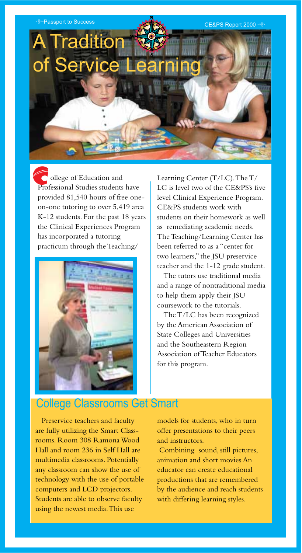

 ollege of Education and **C** ollege of Education and<br>Professional Studies students have provided 81,540 hours of free oneon-one tutoring to over 5,419 area K-12 students. For the past 18 years the Clinical Experiences Program has incorporated a tutoring practicum through the Teaching/



Learning Center (T/LC). The T/ LC is level two of the CE&PS's five level Clinical Experience Program. CE&PS students work with students on their homework as well as remediating academic needs. The Teaching/Learning Center has been referred to as a "center for two learners," the JSU preservice teacher and the 1-12 grade student.

The tutors use traditional media and a range of nontraditional media to help them apply their JSU coursework to the tutorials.

The T/LC has been recognized by the American Association of State Colleges and Universities and the Southeastern Region Association of Teacher Educators for this program.

#### College Classrooms Get Smart

Preservice teachers and faculty are fully utilizing the Smart Classrooms. Room 308 Ramona Wood Hall and room 236 in Self Hall are multimedia classrooms. Potentially any classroom can show the use of technology with the use of portable computers and LCD projectors. Students are able to observe faculty using the newest media. This use

models for students, who in turn offer presentations to their peers and instructors.

 Combining sound, still pictures, animation and short movies An educator can create educational productions that are remembered by the audience and reach students with differing learning styles.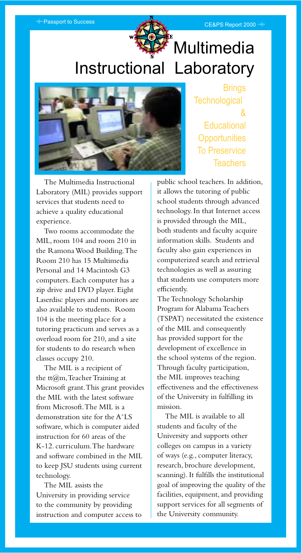



The Multimedia Instructional Laboratory (MIL) provides support services that students need to achieve a quality educational experience.

Two rooms accommodate the MIL, room 104 and room 210 in the Ramona Wood Building. The Room 210 has 15 Multimedia Personal and 14 Macintosh G3 computers. Each computer has a zip drive and DVD player. Eight Laserdisc players and monitors are also available to students. Room 104 is the meeting place for a tutoring practicum and serves as a overload room for 210, and a site for students to do research when classes occupy 210.

The MIL is a recipient of the tt@m, Teacher Training at Microsoft grant. This grant provides the MIL with the latest software from Microsoft. The MIL is a demonstration site for the A+LS software, which is computer aided instruction for 60 areas of the K-12. curriculum. The hardware and software combined in the MIL to keep JSU students using current technology.

The MIL assists the University in providing service to the community by providing instruction and computer access to

**Brings Technological** & **Educational Opportunities** To Preservice **Teachers** 

public school teachers. In addition, it allows the tutoring of public school students through advanced technology. In that Internet access is provided through the MIL, both students and faculty acquire information skills. Students and faculty also gain experiences in computerized search and retrieval technologies as well as assuring that students use computers more efficiently.

The Technology Scholarship Program for Alabama Teachers (TSPAT) necessitated the existence of the MIL and consequently has provided support for the development of excellence in the school systems of the region. Through faculty participation, the MIL improves teaching effectiveness and the effectiveness of the University in fulfilling its mission.

The MIL is available to all students and faculty of the University and supports other colleges on campus in a variety of ways (e.g., computer literacy, research, brochure development, scanning). It fulfills the institutional goal of improving the quality of the facilities, equipment, and providing support services for all segments of the University community.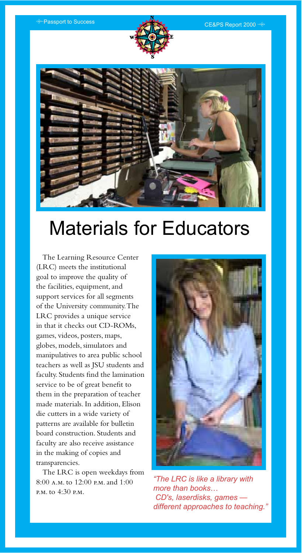



## Materials for Educators

The Learning Resource Center (LRC) meets the institutional goal to improve the quality of the facilities, equipment, and support services for all segments of the University community. The LRC provides a unique service in that it checks out CD-ROMs, games, videos, posters, maps, globes, models, simulators and manipulatives to area public school teachers as well as JSU students and faculty. Students find the lamination service to be of great benefit to them in the preparation of teacher made materials. In addition, Elison die cutters in a wide variety of patterns are available for bulletin board construction. Students and faculty are also receive assistance in the making of copies and transparencies.

The LRC is open weekdays from 8:00 a.m. to 12:00 p.m. and 1:00 p.m. to 4:30 p.m.



*"The LRC is like a library with more than books*…  *CD's, laserdisks, games different approaches to teaching."*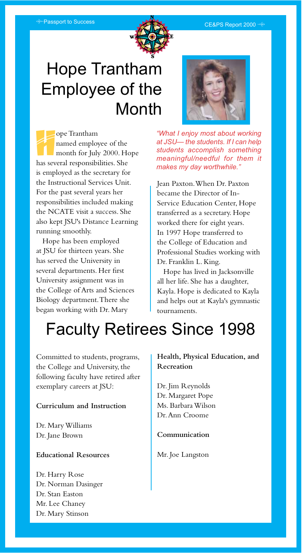

#### Hope Trantham Employee of the Month



ope Trantham<br>
named employ<br>
month for July<br>
has several responsibility named employee of the month for July 2000. Hope has several responsibilities. She is employed as the secretary for the Instructional Services Unit. For the past several years her responsibilities included making the NCATE visit a success. She also kept JSU's Distance Learning running smoothly.

Hope has been employed at JSU for thirteen years. She has served the University in several departments. Her first University assignment was in the College of Arts and Sciences Biology department. There she began working with Dr. Mary

*"What I enjoy most about working at JSU— the students. If I can help students accomplish something meaningful/needful for them it makes my day worthwhile."*

Jean Paxton. When Dr. Paxton became the Director of In-Service Education Center, Hope transferred as a secretary. Hope worked there for eight years. In 1997 Hope transferred to the College of Education and Professional Studies working with Dr. Franklin L. King.

Hope has lived in Jacksonville all her life. She has a daughter, Kayla. Hope is dedicated to Kayla and helps out at Kayla's gymnastic tournaments.

#### Faculty Retirees Since 1998

Committed to students, programs, the College and University, the following faculty have retired after exemplary careers at JSU:

#### **Curriculum and Instruction**

Dr. Mary Williams Dr. Jane Brown

#### **Educational Resources**

Dr. Harry Rose Dr. Norman Dasinger Dr. Stan Easton Mr. Lee Chaney Dr. Mary Stinson

**Health, Physical Education, and Recreation**

Dr. Jim Reynolds Dr. Margaret Pope Ms. Barbara Wilson Dr. Ann Croome

#### **Communication**

Mr. Joe Langston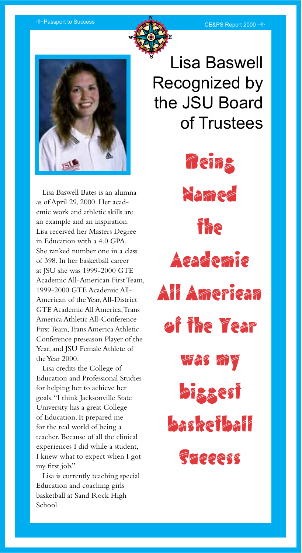



Lisa Baswell Bates is an alumna as of April 29, 2000. Her academic work and athletic skills are an example and an inspiration. Lisa received her Masters Degree in Education with a 4.0 GPA. She ranked number one in a class of 398. In her basketball career at JSU she was 1999-2000 GTE Academic All-American First Team, 1999-2000 GTE Academic All-American of the Year, All-District GTE Academic All America, Trans America Athletic All-Conference First Team, Trans America Athletic Conference preseason Player of the Year, and JSU Female Athlete of the Year 2000.

Lisa credits the College of Education and Professional Studies for helping her to achieve her goals. "I think Jacksonville State University has a great College of Education. It prepared me for the real world of being a teacher. Because of all the clinical experiences I did while a student, I knew what to expect when I got my first job."

Lisa is currently teaching special Education and coaching girls basketball at Sand Rock High School.

Lisa Baswell Recognized by the JSU Board of Trustees

Being Named the Academic All American of the Year was my biggest basketball Success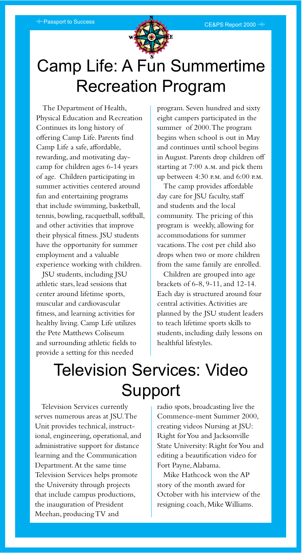

#### Camp Life: A Fun Summertime Recreation Program

The Department of Health, Physical Education and Recreation Continues its long history of offering Camp Life. Parents find Camp Life a safe, affordable, rewarding, and motivating daycamp for children ages 6-14 years of age. Children participating in summer activities centered around fun and entertaining programs that include swimming, basketball, tennis, bowling, racquetball, softball, and other activities that improve their physical fitness. JSU students have the opportunity for summer employment and a valuable experience working with children.

JSU students, including JSU athletic stars, lead sessions that center around lifetime sports, muscular and cardiovascular fitness, and learning activities for healthy living. Camp Life utilizes the Pete Matthews Coliseum and surrounding athletic fields to provide a setting for this needed

program. Seven hundred and sixty eight campers participated in the summer of 2000. The program begins when school is out in May and continues until school begins in August. Parents drop children off starting at 7:00 a.m. and pick them up between 4:30 p.m. and 6:00 p.m.

The camp provides affordable day care for JSU faculty, staff and students and the local community. The pricing of this program is weekly, allowing for accommodations for summer vacations. The cost per child also drops when two or more children from the same family are enrolled.

Children are grouped into age brackets of 6-8, 9-11, and 12-14. Each day is structured around four central activities. Activities are planned by the JSU student leaders to teach lifetime sports skills to students, including daily lessons on healthful lifestyles.

#### Television Services: Video Support

Television Services currently serves numerous areas at JSU. The Unit provides technical, instructional, engineering, operational, and administrative support for distance learning and the Communication Department. At the same time Television Services helps promote the University through projects that include campus productions, the inauguration of President Meehan, producing TV and

radio spots, broadcasting live the Commence-ment Summer 2000, creating videos Nursing at JSU: Right for You and Jacksonville State University: Right for You and editing a beautification video for Fort Payne, Alabama.

Mike Hathcock won the AP story of the month award for October with his interview of the resigning coach, Mike Williams.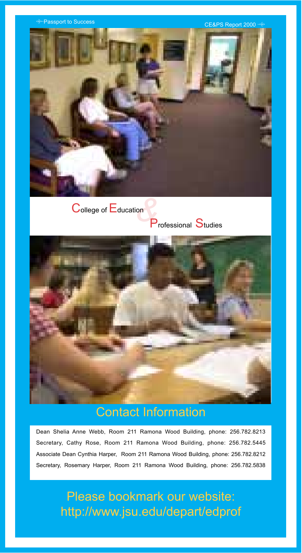

 $\mathsf{C}$ ollege of  $\mathsf{E}$ ducation





#### Contact Information

Dean Shelia Anne Webb, Room 211 Ramona Wood Building, phone: 256.782.8213 Secretary, Cathy Rose, Room 211 Ramona Wood Building, phone: 256.782.5445 Associate Dean Cynthia Harper, Room 211 Ramona Wood Building, phone: 256.782.8212 Secretary, Rosemary Harper, Room 211 Ramona Wood Building, phone: 256.782.5838

> Please bookmark our website: http://www.jsu.edu/depart/edprof